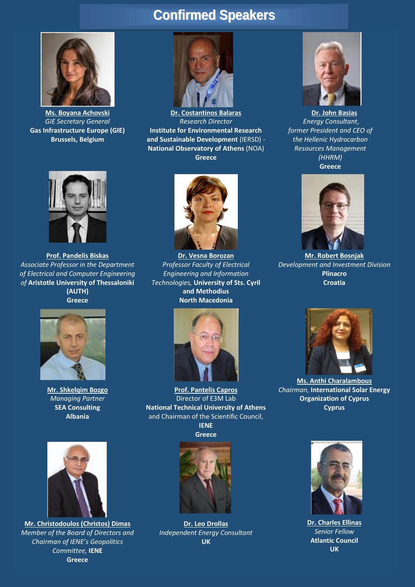## **Confirmed Speakers**



**Ms. Boyana Achovski** *GIE Secretary General* **Gas Infrastructure Europe (GIE) Brussels, Belgium**



**Dr. Costantinos Balaras** *Research Director* **Institute for Environmental Research and Sustainable Development** (IERSD) - **National Observatory of Athens** (NOA) **Greece**



**Dr. John Basias** *Energy Consultant*, *former President and CEO of the Hellenic Hydrocarbon Resources Management (HHRM)* **Greece**



**Prof. Pandelis Biskas** *Associate Professor in the Department of Electrical and Computer Engineering of* **Aristotle University of Thessaloniki (AUTH) Greece**



**Mr. Shkelqim Bozgo** *Managing Partner* **SEA Consulting Albania**



**Mr. Christodoulos (Christos) Dimas** *Member of the Board of Directors and Chairman of IENE's Geopolitics Committee,* **ΙΕΝΕ Greece**



**Dr. Vesna Borozan** *Professor Faculty of Electrical Engineering and Information Technologies,* **University of Sts. Cyril and Methodius North Macedonia**



**Prof. Pantelis Capros** Director of E3M Lab **National Technical University of Athens** and Chairman of the Scientific Council, **ΙΕΝΕ**



**Dr. Leo Drollas** *Independent Energy Consultant* **UK**



**Mr. Robert Bosnjak** *Development and Investment Division* **Plinacro Croatia**



**Ms. Anthi Charalambous**  *Chairman,* **International Solar Energy Organization of Cyprus Cyprus**



**Dr. Charles Ellinas** *Senior Fellow* **Atlantic Council UK**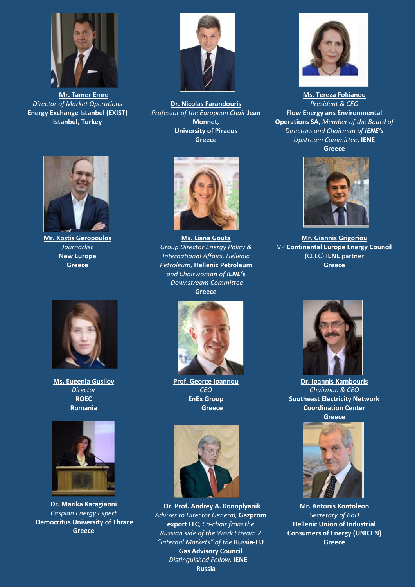

**Mr. Tamer Emre** *Director of Market Operations* **Energy Exchange Istanbul (EXIST) Istanbul, Turkey**



**Dr. Nicolas Farandouris** *Professor of the European Chair* **Jean Monnet, University of Piraeus Greece**



**Mr. Kostis Geropoulos** *Journarlist* **New Europe Greece**



**Ms. Eugenia Gusilov** *Director*  **ROEC Romania**



**Dr. Marika Karagianni** *Caspian Energy Expert*  **Democritus University of Thrace Greece**



**Ms. Liana Gouta** *Group Director Energy Policy & International Affairs, Hellenic Petroleum,* **Hellenic Petroleum** *and Chairwoman of IENE's Downstream Committee* **Greece**



**Prof. George Ioannou** *CEO* **ΕnEx Group Greece**



**Dr. Prof. Andrey A. Konoplyanik** *Adviser to Director General,* **Gazprom export LLC**, *Co-chair from the Russian side of the Work Stream 2 "Internal Markets" of the* **Russia-EU Gas Advisory Council** *Distinguished Fellow,* **IENE Russia**



**Ms. Tereza Fokianou** *President & CEO* **Flow Energy ans Environmental Operations SA,** *Member of the Board of Directors and Chairman of IENE's Upstream Committee*, **ΙΕΝΕ Greece**



**Mr. Giannis Grigoriou** VP **Continental Europe Energy Council** (CEEC),**IENE** partner **Greece**



**Dr. Ioannis Kambouris** *Chairman & CEO* **Southeast Electricity Network Coordination Center Greece**



**Mr. Antonis Kontoleon** *Secretary of BoD* **Hellenic Union of Industrial Consumers of Energy (UNICEN) Greece**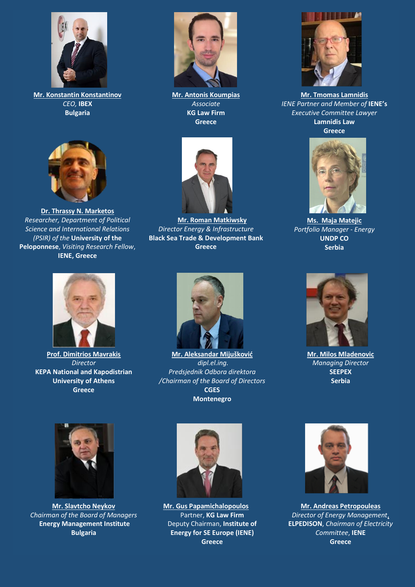

**Mr. Konstantin Konstantinov** *CEO,* **IBEX Bulgaria**



**Dr. Thrassy N. Marketos** *Researcher, Department of Political Science and International Relations (PSIR) of the* **University of the Peloponnese**, *Visiting Research Fellow*, **IENE, Greece**



**Mr. Antonis Koumpias** *Associate* **KG Law Firm Greece**



**Mr. Roman Matkiwsky** *Director Energy & Infrastructure* **Black Sea Trade & Development Bank Greece**



**Mr. Tmomas Lamnidis** *ΙΕΝΕ Partner and Member of* **IENE's**  *Executive Committee Lawyer* **Lamnidis Law**

**Greece**



**Ms. Maja Matejic** *Portfolio Manager - Energy*  **UNDP CO Serbia**



**Prof. Dimitrios Mavrakis** *Director* **KEPA National and Kapodistrian University of Athens Greece**



**Mr. Aleksandar Mijušković** *dipl.el.ing. Predsjednik Odbora direktora /Chairman of the Board of Directors* **CGES Montenegro**



**Mr. Milos Mladenovic** *Managing Director* **SEEPEX Serbia**



**Mr. Slavtcho Neykov**  *Chairman of the Board of Managers* **Energy Management Institute Bulgaria**



**Mr. Gus Papamichalopoulos** Partner, **KG Law Firm** Deputy Chairman, **Institute of Energy for SE Europe (IENE) Greece**



**Mr. Andreas Petropouleas** *Director of Energy Management*, **ELPEDISON**, *Chairman of Electricity Committee*, **IENE Greece**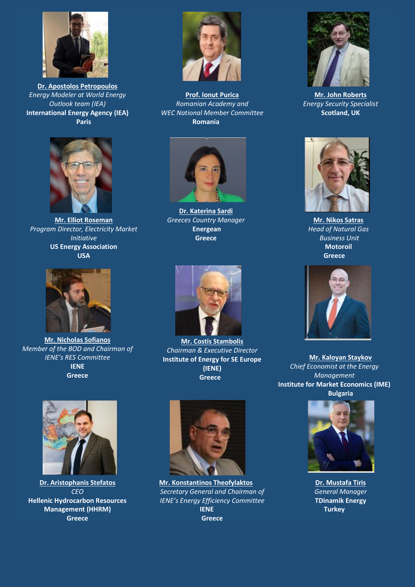

**Dr. Apostolos Petropoulos** *Energy Modeler at World Energy Outlook team (IEA)* **International Energy Agency (IEA) Paris**



**Mr. Elliot Roseman**  *Program Director, Electricity Market Initiative* **US Energy Association USA**



**Mr. Nicholas Sofianos** *Member of the BOD and Chairman of IENE's RES Committee* **IENE Greece**



**Prof. Ionut Purica**  *Romanian Academy and WEC National Member Committee*  **Romania**



**Dr. Katerina Sardi** *Greeces Country Manager* **Energean Greece**





**Mr. Nikos Satras** *Head of Natural Gas Business Unit* **Motoroil Greece**



**Mr. Costis Stambolis**  *Chairman & Executive Director* **Institute of Energy for SE Europe (IENE) Greece**



**Dr. Aristophanis Stefatos** *CEO* **Hellenic Hydrocarbon Resources Management (HHRM) Greece**



**Mr. Konstantinos Theofylaktos** *Secretary General and Chairman of IENE's Energy Efficiency Committee*  **IENE Greece**



**Mr. Kaloyan Staykov** *Chief Economist at the Energy Management* **Institute for Market Economics (IME) Bulgaria**



**Dr. Mustafa Tiris** *General Manager*  **TDinamik Energy Turkey**



**Mr. John Roberts** *Energy Security Specialist* **Scotland, UK**